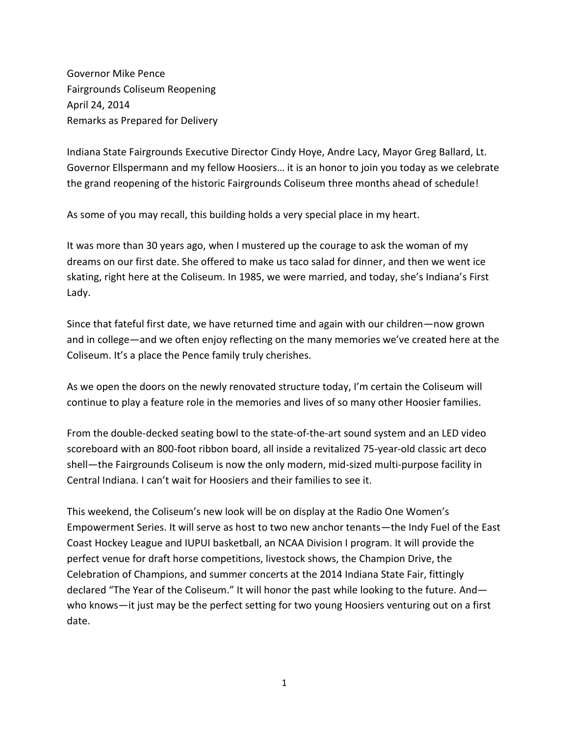Governor Mike Pence Fairgrounds Coliseum Reopening April 24, 2014 Remarks as Prepared for Delivery

Indiana State Fairgrounds Executive Director Cindy Hoye, Andre Lacy, Mayor Greg Ballard, Lt. Governor Ellspermann and my fellow Hoosiers… it is an honor to join you today as we celebrate the grand reopening of the historic Fairgrounds Coliseum three months ahead of schedule!

As some of you may recall, this building holds a very special place in my heart.

It was more than 30 years ago, when I mustered up the courage to ask the woman of my dreams on our first date. She offered to make us taco salad for dinner, and then we went ice skating, right here at the Coliseum. In 1985, we were married, and today, she's Indiana's First Lady.

Since that fateful first date, we have returned time and again with our children—now grown and in college—and we often enjoy reflecting on the many memories we've created here at the Coliseum. It's a place the Pence family truly cherishes.

As we open the doors on the newly renovated structure today, I'm certain the Coliseum will continue to play a feature role in the memories and lives of so many other Hoosier families.

From the double-decked seating bowl to the state-of-the-art sound system and an LED video scoreboard with an 800-foot ribbon board, all inside a revitalized 75-year-old classic art deco shell—the Fairgrounds Coliseum is now the only modern, mid-sized multi-purpose facility in Central Indiana. I can't wait for Hoosiers and their families to see it.

This weekend, the Coliseum's new look will be on display at the Radio One Women's Empowerment Series. It will serve as host to two new anchor tenants—the Indy Fuel of the East Coast Hockey League and IUPUI basketball, an NCAA Division I program. It will provide the perfect venue for draft horse competitions, livestock shows, the Champion Drive, the Celebration of Champions, and summer concerts at the 2014 Indiana State Fair, fittingly declared "The Year of the Coliseum." It will honor the past while looking to the future. And who knows—it just may be the perfect setting for two young Hoosiers venturing out on a first date.